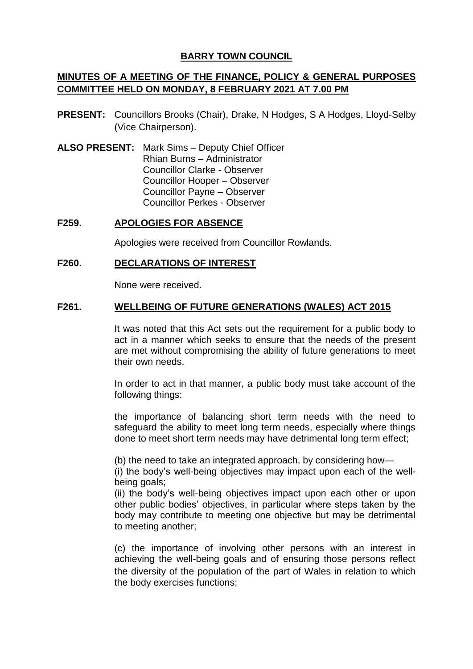# **BARRY TOWN COUNCIL**

# **MINUTES OF A MEETING OF THE FINANCE, POLICY & GENERAL PURPOSES COMMITTEE HELD ON MONDAY, 8 FEBRUARY 2021 AT 7.00 PM**

- **PRESENT:** Councillors Brooks (Chair), Drake, N Hodges, S A Hodges, Lloyd-Selby (Vice Chairperson).
- **ALSO PRESENT:** Mark Sims Deputy Chief Officer Rhian Burns – Administrator Councillor Clarke - Observer Councillor Hooper – Observer Councillor Payne – Observer Councillor Perkes - Observer

## **F259. APOLOGIES FOR ABSENCE**

Apologies were received from Councillor Rowlands.

## **F260. DECLARATIONS OF INTEREST**

None were received.

#### **F261. WELLBEING OF FUTURE GENERATIONS (WALES) ACT 2015**

It was noted that this Act sets out the requirement for a public body to act in a manner which seeks to ensure that the needs of the present are met without compromising the ability of future generations to meet their own needs.

In order to act in that manner, a public body must take account of the following things:

the importance of balancing short term needs with the need to safeguard the ability to meet long term needs, especially where things done to meet short term needs may have detrimental long term effect;

(b) the need to take an integrated approach, by considering how—

(i) the body's well-being objectives may impact upon each of the wellbeing goals;

(ii) the body's well-being objectives impact upon each other or upon other public bodies' objectives, in particular where steps taken by the body may contribute to meeting one objective but may be detrimental to meeting another;

(c) the importance of involving other persons with an interest in achieving the well-being goals and of ensuring those persons reflect the diversity of the population of the part of Wales in relation to which the body exercises functions;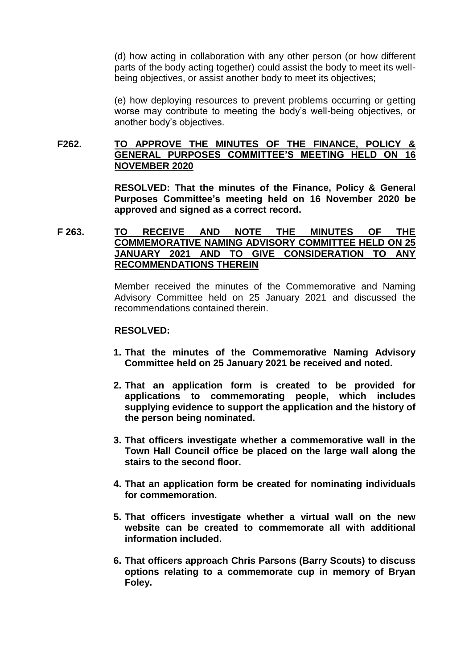(d) how acting in collaboration with any other person (or how different parts of the body acting together) could assist the body to meet its wellbeing objectives, or assist another body to meet its objectives;

(e) how deploying resources to prevent problems occurring or getting worse may contribute to meeting the body's well-being objectives, or another body's objectives.

# **F262. TO APPROVE THE MINUTES OF THE FINANCE, POLICY & GENERAL PURPOSES COMMITTEE'S MEETING HELD ON 16 NOVEMBER 2020**

**RESOLVED: That the minutes of the Finance, Policy & General Purposes Committee's meeting held on 16 November 2020 be approved and signed as a correct record.**

## **F 263. TO RECEIVE AND NOTE THE MINUTES OF THE COMMEMORATIVE NAMING ADVISORY COMMITTEE HELD ON 25 JANUARY 2021 AND TO GIVE CONSIDERATION TO ANY RECOMMENDATIONS THEREIN**

Member received the minutes of the Commemorative and Naming Advisory Committee held on 25 January 2021 and discussed the recommendations contained therein.

#### **RESOLVED:**

- **1. That the minutes of the Commemorative Naming Advisory Committee held on 25 January 2021 be received and noted.**
- **2. That an application form is created to be provided for applications to commemorating people, which includes supplying evidence to support the application and the history of the person being nominated.**
- **3. That officers investigate whether a commemorative wall in the Town Hall Council office be placed on the large wall along the stairs to the second floor.**
- **4. That an application form be created for nominating individuals for commemoration.**
- **5. That officers investigate whether a virtual wall on the new website can be created to commemorate all with additional information included.**
- **6. That officers approach Chris Parsons (Barry Scouts) to discuss options relating to a commemorate cup in memory of Bryan Foley.**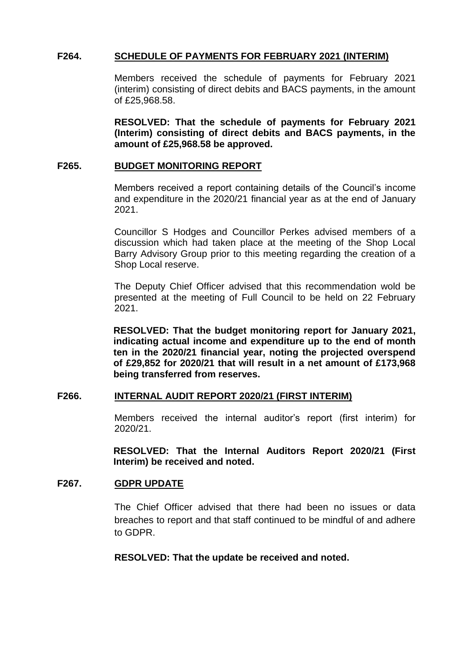## **F264. SCHEDULE OF PAYMENTS FOR FEBRUARY 2021 (INTERIM)**

Members received the schedule of payments for February 2021 (interim) consisting of direct debits and BACS payments, in the amount of £25,968.58.

**RESOLVED: That the schedule of payments for February 2021 (Interim) consisting of direct debits and BACS payments, in the amount of £25,968.58 be approved.**

#### **F265. BUDGET MONITORING REPORT**

Members received a report containing details of the Council's income and expenditure in the 2020/21 financial year as at the end of January 2021.

Councillor S Hodges and Councillor Perkes advised members of a discussion which had taken place at the meeting of the Shop Local Barry Advisory Group prior to this meeting regarding the creation of a Shop Local reserve.

The Deputy Chief Officer advised that this recommendation wold be presented at the meeting of Full Council to be held on 22 February 2021.

**RESOLVED: That the budget monitoring report for January 2021, indicating actual income and expenditure up to the end of month ten in the 2020/21 financial year, noting the projected overspend of £29,852 for 2020/21 that will result in a net amount of £173,968 being transferred from reserves.**

#### **F266. INTERNAL AUDIT REPORT 2020/21 (FIRST INTERIM)**

Members received the internal auditor's report (first interim) for 2020/21.

**RESOLVED: That the Internal Auditors Report 2020/21 (First Interim) be received and noted.**

### **F267. GDPR UPDATE**

The Chief Officer advised that there had been no issues or data breaches to report and that staff continued to be mindful of and adhere to GDPR.

#### **RESOLVED: That the update be received and noted.**